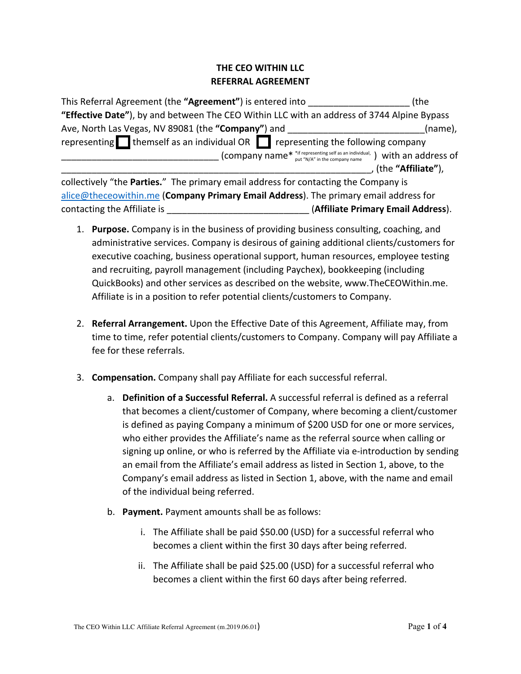## **THE CEO WITHIN LLC REFERRAL AGREEMENT**

| This Referral Agreement (the "Agreement") is entered into                                                  | (the               |
|------------------------------------------------------------------------------------------------------------|--------------------|
| "Effective Date"), by and between The CEO Within LLC with an address of 3744 Alpine Bypass                 |                    |
| Ave, North Las Vegas, NV 89081 (the "Company") and                                                         | (name),            |
| representing $\blacksquare$ themself as an individual OR $\blacksquare$ representing the following company |                    |
| (company name* *if representing self as an individual, ) with an address of                                |                    |
|                                                                                                            | (the "Affiliate"), |
| collectively "the Parties." The primary email address for contacting the Company is                        |                    |
| alice@theceowithin.me (Company Primary Email Address). The primary email address for                       |                    |
| (Affiliate Primary Email Address).<br>contacting the Affiliate is                                          |                    |

- 1. **Purpose.** Company is in the business of providing business consulting, coaching, and administrative services. Company is desirous of gaining additional clients/customers for executive coaching, business operational support, human resources, employee testing and recruiting, payroll management (including Paychex), bookkeeping (including QuickBooks) and other services as described on the website, www.TheCEOWithin.me. Affiliate is in a position to refer potential clients/customers to Company.
- 2. **Referral Arrangement.** Upon the Effective Date of this Agreement, Affiliate may, from time to time, refer potential clients/customers to Company. Company will pay Affiliate a fee for these referrals.
- 3. **Compensation.** Company shall pay Affiliate for each successful referral.
	- a. **Definition of a Successful Referral.** A successful referral is defined as a referral that becomes a client/customer of Company, where becoming a client/customer is defined as paying Company a minimum of \$200 USD for one or more services, who either provides the Affiliate's name as the referral source when calling or signing up online, or who is referred by the Affiliate via e-introduction by sending an email from the Affiliate's email address as listed in Section 1, above, to the Company's email address as listed in Section 1, above, with the name and email of the individual being referred.
	- b. **Payment.** Payment amounts shall be as follows:
		- i. The Affiliate shall be paid \$50.00 (USD) for a successful referral who becomes a client within the first 30 days after being referred.
		- ii. The Affiliate shall be paid \$25.00 (USD) for a successful referral who becomes a client within the first 60 days after being referred.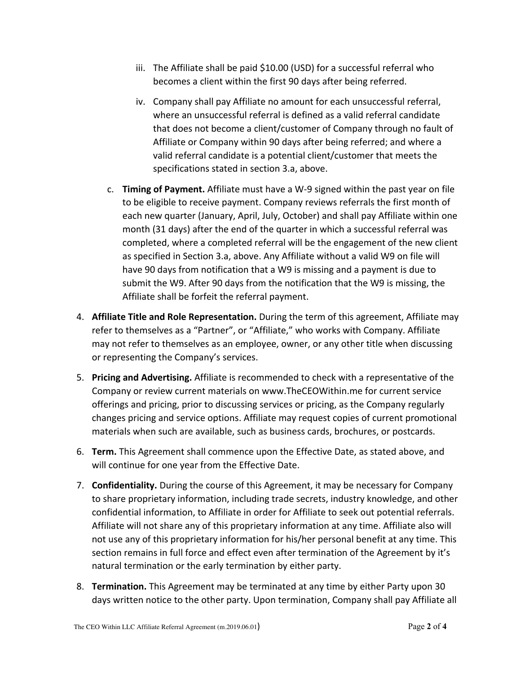- iii. The Affiliate shall be paid \$10.00 (USD) for a successful referral who becomes a client within the first 90 days after being referred.
- iv. Company shall pay Affiliate no amount for each unsuccessful referral, where an unsuccessful referral is defined as a valid referral candidate that does not become a client/customer of Company through no fault of Affiliate or Company within 90 days after being referred; and where a valid referral candidate is a potential client/customer that meets the specifications stated in section 3.a, above.
- c. **Timing of Payment.** Affiliate must have a W-9 signed within the past year on file to be eligible to receive payment. Company reviews referrals the first month of each new quarter (January, April, July, October) and shall pay Affiliate within one month (31 days) after the end of the quarter in which a successful referral was completed, where a completed referral will be the engagement of the new client as specified in Section 3.a, above. Any Affiliate without a valid W9 on file will have 90 days from notification that a W9 is missing and a payment is due to submit the W9. After 90 days from the notification that the W9 is missing, the Affiliate shall be forfeit the referral payment.
- 4. **Affiliate Title and Role Representation.** During the term of this agreement, Affiliate may refer to themselves as a "Partner", or "Affiliate," who works with Company. Affiliate may not refer to themselves as an employee, owner, or any other title when discussing or representing the Company's services.
- 5. **Pricing and Advertising.** Affiliate is recommended to check with a representative of the Company or review current materials on www.TheCEOWithin.me for current service offerings and pricing, prior to discussing services or pricing, as the Company regularly changes pricing and service options. Affiliate may request copies of current promotional materials when such are available, such as business cards, brochures, or postcards.
- 6. **Term.** This Agreement shall commence upon the Effective Date, as stated above, and will continue for one year from the Effective Date.
- 7. **Confidentiality.** During the course of this Agreement, it may be necessary for Company to share proprietary information, including trade secrets, industry knowledge, and other confidential information, to Affiliate in order for Affiliate to seek out potential referrals. Affiliate will not share any of this proprietary information at any time. Affiliate also will not use any of this proprietary information for his/her personal benefit at any time. This section remains in full force and effect even after termination of the Agreement by it's natural termination or the early termination by either party.
- 8. **Termination.** This Agreement may be terminated at any time by either Party upon 30 days written notice to the other party. Upon termination, Company shall pay Affiliate all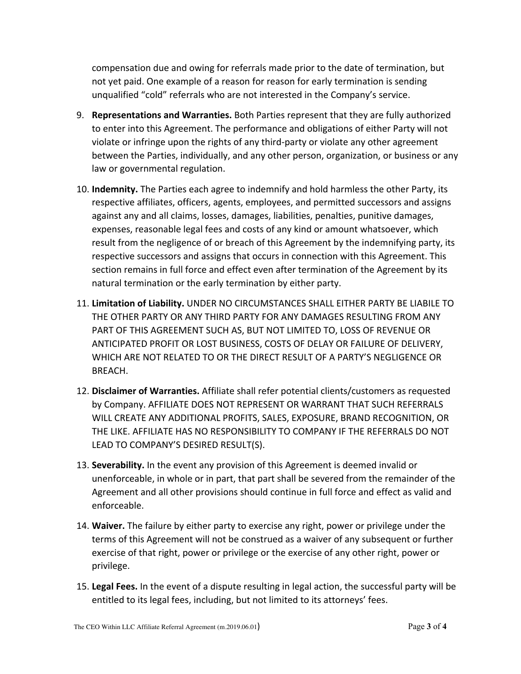compensation due and owing for referrals made prior to the date of termination, but not yet paid. One example of a reason for reason for early termination is sending unqualified "cold" referrals who are not interested in the Company's service.

- 9. **Representations and Warranties.** Both Parties represent that they are fully authorized to enter into this Agreement. The performance and obligations of either Party will not violate or infringe upon the rights of any third-party or violate any other agreement between the Parties, individually, and any other person, organization, or business or any law or governmental regulation.
- 10. **Indemnity.** The Parties each agree to indemnify and hold harmless the other Party, its respective affiliates, officers, agents, employees, and permitted successors and assigns against any and all claims, losses, damages, liabilities, penalties, punitive damages, expenses, reasonable legal fees and costs of any kind or amount whatsoever, which result from the negligence of or breach of this Agreement by the indemnifying party, its respective successors and assigns that occurs in connection with this Agreement. This section remains in full force and effect even after termination of the Agreement by its natural termination or the early termination by either party.
- 11. **Limitation of Liability.** UNDER NO CIRCUMSTANCES SHALL EITHER PARTY BE LIABILE TO THE OTHER PARTY OR ANY THIRD PARTY FOR ANY DAMAGES RESULTING FROM ANY PART OF THIS AGREEMENT SUCH AS, BUT NOT LIMITED TO, LOSS OF REVENUE OR ANTICIPATED PROFIT OR LOST BUSINESS, COSTS OF DELAY OR FAILURE OF DELIVERY, WHICH ARE NOT RELATED TO OR THE DIRECT RESULT OF A PARTY'S NEGLIGENCE OR BREACH.
- 12. **Disclaimer of Warranties.** Affiliate shall refer potential clients/customers as requested by Company. AFFILIATE DOES NOT REPRESENT OR WARRANT THAT SUCH REFERRALS WILL CREATE ANY ADDITIONAL PROFITS, SALES, EXPOSURE, BRAND RECOGNITION, OR THE LIKE. AFFILIATE HAS NO RESPONSIBILITY TO COMPANY IF THE REFERRALS DO NOT LEAD TO COMPANY'S DESIRED RESULT(S).
- 13. **Severability.** In the event any provision of this Agreement is deemed invalid or unenforceable, in whole or in part, that part shall be severed from the remainder of the Agreement and all other provisions should continue in full force and effect as valid and enforceable.
- 14. **Waiver.** The failure by either party to exercise any right, power or privilege under the terms of this Agreement will not be construed as a waiver of any subsequent or further exercise of that right, power or privilege or the exercise of any other right, power or privilege.
- 15. **Legal Fees.** In the event of a dispute resulting in legal action, the successful party will be entitled to its legal fees, including, but not limited to its attorneys' fees.